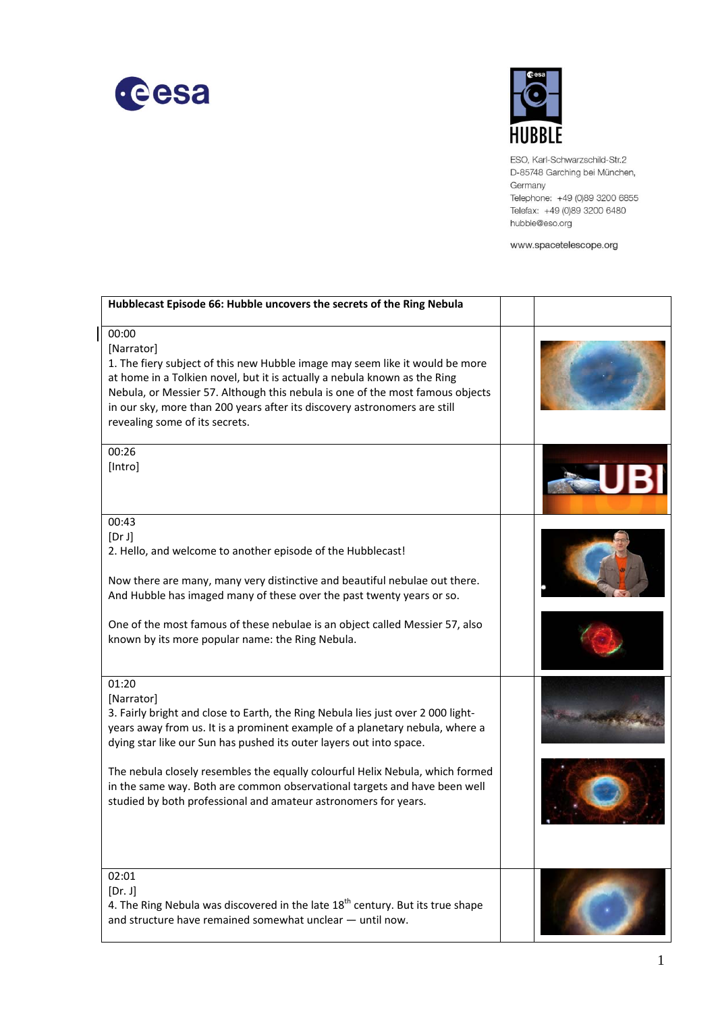

 $\overline{\phantom{a}}$ 



ESO, Karl-Schwarzschild-Str.2 D-85748 Garching bei München, Germany Telephone: +49 (0)89 3200 6855 Telefax: +49 (0)89 3200 6480 hubble@eso.org

www.spacetelescope.org

| Hubblecast Episode 66: Hubble uncovers the secrets of the Ring Nebula                                                                                                                                                                                                                                                                                                                                                                                                                           |  |
|-------------------------------------------------------------------------------------------------------------------------------------------------------------------------------------------------------------------------------------------------------------------------------------------------------------------------------------------------------------------------------------------------------------------------------------------------------------------------------------------------|--|
| 00:00<br>[Narrator]<br>1. The fiery subject of this new Hubble image may seem like it would be more<br>at home in a Tolkien novel, but it is actually a nebula known as the Ring<br>Nebula, or Messier 57. Although this nebula is one of the most famous objects<br>in our sky, more than 200 years after its discovery astronomers are still<br>revealing some of its secrets.                                                                                                                |  |
| 00:26<br>[Intro]                                                                                                                                                                                                                                                                                                                                                                                                                                                                                |  |
| 00:43<br>[Dr J]<br>2. Hello, and welcome to another episode of the Hubblecast!<br>Now there are many, many very distinctive and beautiful nebulae out there.<br>And Hubble has imaged many of these over the past twenty years or so.<br>One of the most famous of these nebulae is an object called Messier 57, also<br>known by its more popular name: the Ring Nebula.                                                                                                                       |  |
| 01:20<br>[Narrator]<br>3. Fairly bright and close to Earth, the Ring Nebula lies just over 2 000 light-<br>years away from us. It is a prominent example of a planetary nebula, where a<br>dying star like our Sun has pushed its outer layers out into space.<br>The nebula closely resembles the equally colourful Helix Nebula, which formed<br>in the same way. Both are common observational targets and have been well<br>studied by both professional and amateur astronomers for years. |  |
| 02:01<br>[Dr. J]<br>4. The Ring Nebula was discovered in the late $18th$ century. But its true shape<br>and structure have remained somewhat unclear - until now.                                                                                                                                                                                                                                                                                                                               |  |